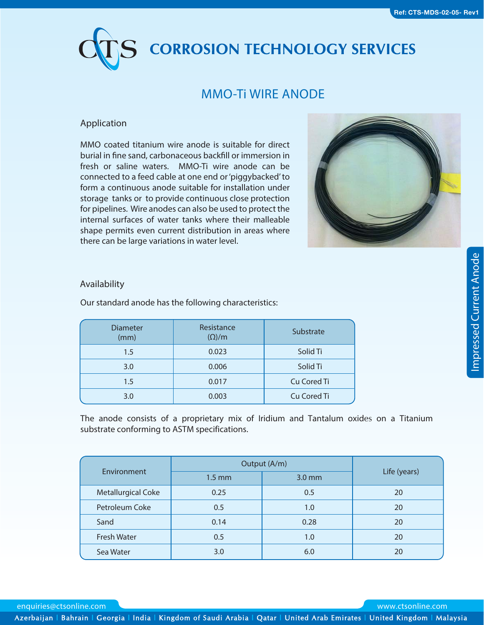# **CORROSION TECHNOLOGY SERVICES**

## **MMO-Ti WIRE ANODE**

## **Application**

MMO coated titanium wire anode is suitable for direct burial in fine sand, carbonaceous backfill or immersion in fresh or saline waters. MMO-Ti wire anode can be connected to a feed cable at one end or 'piggybacked' to form a continuous anode suitable for installation under storage tanks or to provide continuous close protection for pipelines. Wire anodes can also be used to protect the internal surfaces of water tanks where their malleable shape permits even current distribution in areas where there can be large variations in water level.



## **Availability**

Our standard anode has the following characteristics:

| <b>Diameter</b><br>(mm) | Resistance<br>$(\Omega)/m$ | Substrate   |  |
|-------------------------|----------------------------|-------------|--|
| 1.5                     | Solid Ti<br>0.023          |             |  |
| 3.0                     | 0.006                      | Solid Ti    |  |
| $1.5\,$                 | 0.017                      | Cu Cored Ti |  |
| 3.0                     | 0.003                      | Cu Cored Ti |  |

The anode consists of a proprietary mix of Iridium and Tantalum oxides on a Titanium substrate conforming to ASTM specifications.

| Environment        | Output (A/m)     |          |              |
|--------------------|------------------|----------|--------------|
|                    | $1.5 \text{ mm}$ | $3.0$ mm | Life (years) |
| Metallurgical Coke | 0.25             | 0.5      | 20           |
| Petroleum Coke     | 0.5              | 1.0      | 20           |
| Sand               | 0.14             | 0.28     | 20           |
| <b>Fresh Water</b> | 0.5              | 1.0      | 20           |
| Sea Water          | 3.0              | 6.0      | 20           |

enquiries@ctsonline.com www.ctsonline.com

Azerbaijan l Bahrain l Georgia l India l Kingdom of Saudi Arabia l Qatar l United Arab Emirates l United Kingdom l Malaysia